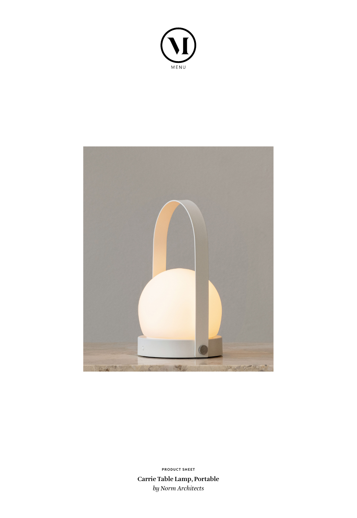



**Carrie Table Lamp, Portable** *by Norm Architects* **PRODUCT SHEET**